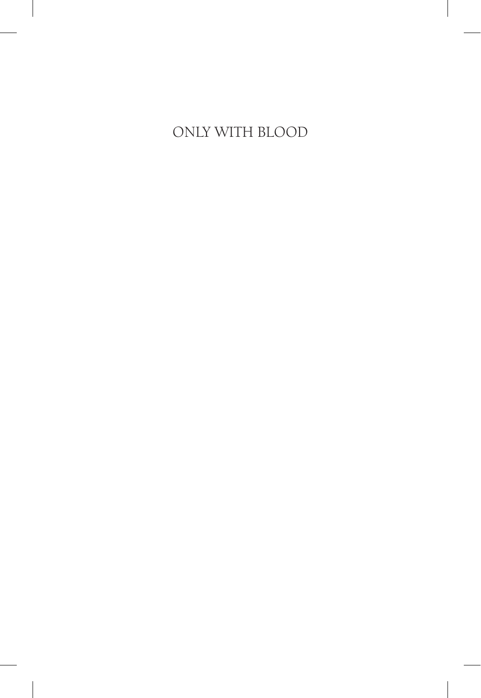## Only With Blood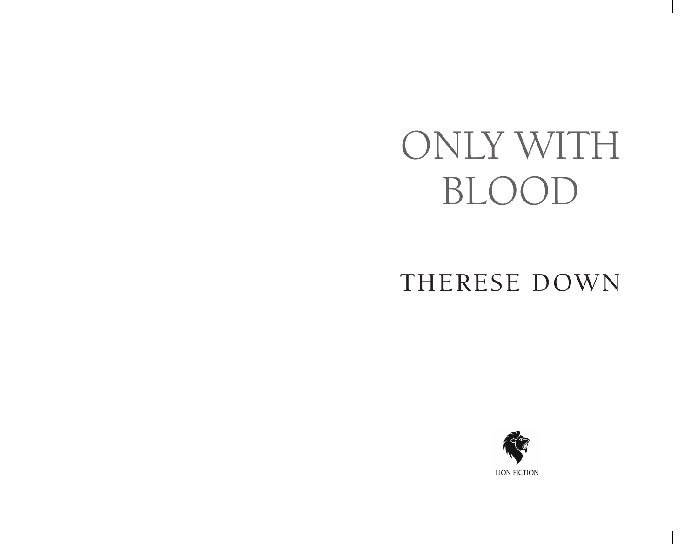# Only With Blood

# Therese Down

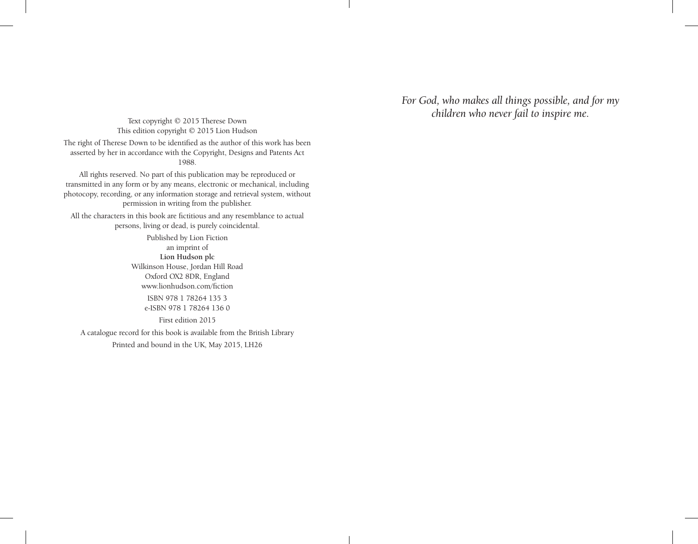*For God, who makes all things possible, and for my children who never fail to inspire me.* Text copyright © 2015 Therese Down

This edition copyright © 2015 Lion Hudson

The right of Therese Down to be identified as the author of this work has been asserted by her in accordance with the Copyright, Designs and Patents Act 1988.

All rights reserved. No part of this publication may be reproduced or transmitted in any form or by any means, electronic or mechanical, including photocopy, recording, or any information storage and retrieval system, without permission in writing from the publisher.

All the characters in this book are fictitious and any resemblance to actual persons, living or dead, is purely coincidental.

> Published by Lion Fiction an imprint of **Lion Hudson plc** Wilkinson House, Jordan Hill Road Oxford OX2 8DR, England www.lionhudson.com/fiction

> > ISBN 978 1 78264 135 3 e-ISBN 978 1 78264 136 0

> > > First edition 2015

A catalogue record for this book is available from the British Library Printed and bound in the UK, May 2015, LH26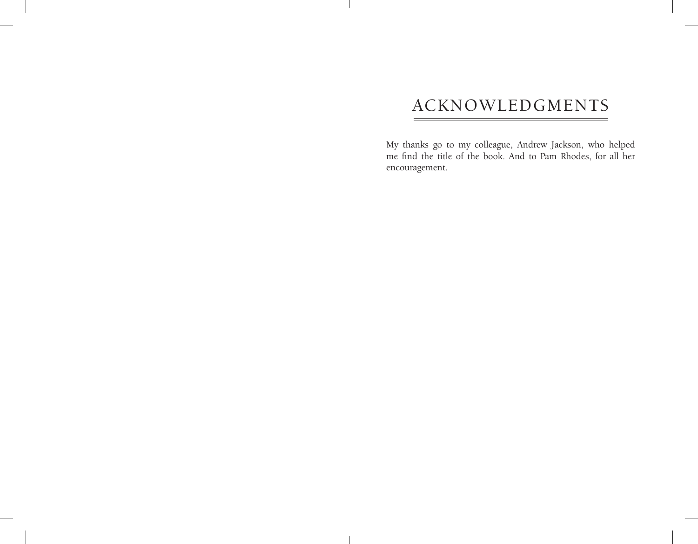# Acknowledgments

My thanks go to my colleague, Andrew Jackson, who helped me find the title of the book. And to Pam Rhodes, for all her encouragement.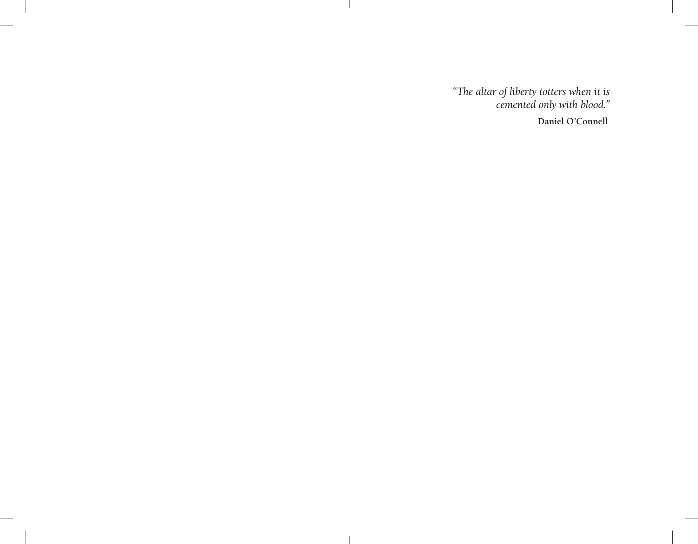*"The altar of liberty totters when it is cemented only with blood."*

**Daniel O'Connell**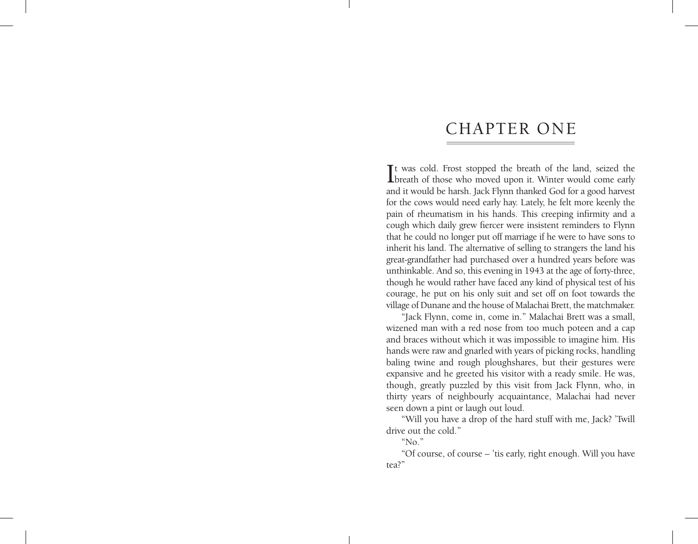# CHAPTER ONE

It was cold. Frost stopped the breath of the land, seized the breath of those who moved upon it. Winter would come early It was cold. Frost stopped the breath of the land, seized the and it would be harsh. Jack Flynn thanked God for a good harvest for the cows would need early hay. Lately, he felt more keenly the pain of rheumatism in his hands. This creeping infirmity and a cough which daily grew fiercer were insistent reminders to Flynn that he could no longer put off marriage if he were to have sons to inherit his land. The alternative of selling to strangers the land his great-grandfather had purchased over a hundred years before was unthinkable. And so, this evening in 1943 at the age of forty-three, though he would rather have faced any kind of physical test of his courage, he put on his only suit and set off on foot towards the village of Dunane and the house of Malachai Brett, the matchmaker.

"Jack Flynn, come in, come in." Malachai Brett was a small, wizened man with a red nose from too much poteen and a cap and braces without which it was impossible to imagine him. His hands were raw and gnarled with years of picking rocks, handling baling twine and rough ploughshares, but their gestures were expansive and he greeted his visitor with a ready smile. He was, though, greatly puzzled by this visit from Jack Flynn, who, in thirty years of neighbourly acquaintance, Malachai had never seen down a pint or laugh out loud.

"Will you have a drop of the hard stuff with me, Jack? 'Twill drive out the cold."

" $No.$ "

"Of course, of course – 'tis early, right enough. Will you have tea?"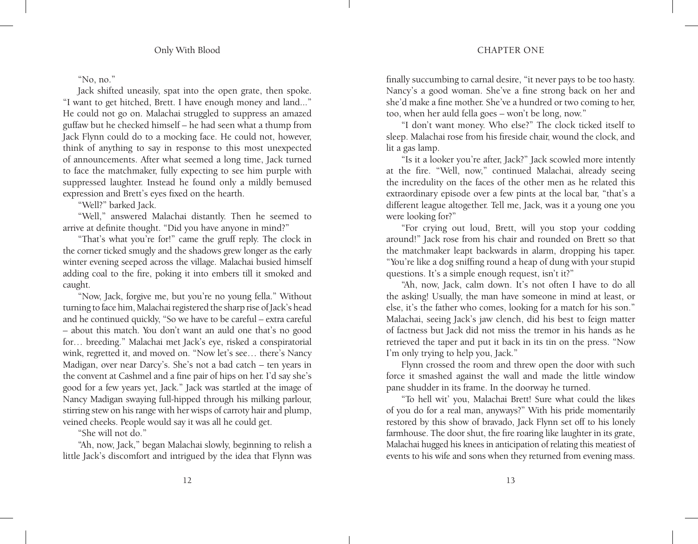"No, no."

Jack shifted uneasily, spat into the open grate, then spoke. "I want to get hitched, Brett. I have enough money and land..." He could not go on. Malachai struggled to suppress an amazed guffaw but he checked himself – he had seen what a thump from Jack Flynn could do to a mocking face. He could not, however, think of anything to say in response to this most unexpected of announcements. After what seemed a long time, Jack turned to face the matchmaker, fully expecting to see him purple with suppressed laughter. Instead he found only a mildly bemused expression and Brett's eyes fixed on the hearth.

"Well?" barked Jack.

"Well," answered Malachai distantly. Then he seemed to arrive at definite thought. "Did you have anyone in mind?"

"That's what you're for!" came the gruff reply. The clock in the corner ticked smugly and the shadows grew longer as the early winter evening seeped across the village. Malachai busied himself adding coal to the fire, poking it into embers till it smoked and caught.

"Now, Jack, forgive me, but you're no young fella." Without turning to face him, Malachai registered the sharp rise of Jack's head and he continued quickly, "So we have to be careful – extra careful – about this match. You don't want an auld one that's no good for… breeding." Malachai met Jack's eye, risked a conspiratorial wink, regretted it, and moved on. "Now let's see… there's Nancy Madigan, over near Darcy's. She's not a bad catch – ten years in the convent at Cashmel and a fine pair of hips on her. I'd say she's good for a few years yet, Jack." Jack was startled at the image of Nancy Madigan swaying full-hipped through his milking parlour, stirring stew on his range with her wisps of carroty hair and plump, veined cheeks. People would say it was all he could get.

"She will not do."

"Ah, now, Jack," began Malachai slowly, beginning to relish a little Jack's discomfort and intrigued by the idea that Flynn was finally succumbing to carnal desire, "it never pays to be too hasty. Nancy's a good woman. She've a fine strong back on her and she'd make a fine mother. She've a hundred or two coming to her, too, when her auld fella goes – won't be long, now."

"I don't want money. Who else?" The clock ticked itself to sleep. Malachai rose from his fireside chair, wound the clock, and lit a gas lamp.

"Is it a looker you're after, Jack?" Jack scowled more intently at the fire. "Well, now," continued Malachai, already seeing the incredulity on the faces of the other men as he related this extraordinary episode over a few pints at the local bar, "that's a different league altogether. Tell me, Jack, was it a young one you were looking for?"

"For crying out loud, Brett, will you stop your codding around!" Jack rose from his chair and rounded on Brett so that the matchmaker leapt backwards in alarm, dropping his taper. "You're like a dog sniffing round a heap of dung with your stupid questions. It's a simple enough request, isn't it?"

"Ah, now, Jack, calm down. It's not often I have to do all the asking! Usually, the man have someone in mind at least, or else, it's the father who comes, looking for a match for his son." Malachai, seeing Jack's jaw clench, did his best to feign matter of factness but Jack did not miss the tremor in his hands as he retrieved the taper and put it back in its tin on the press. "Now I'm only trying to help you, Jack."

Flynn crossed the room and threw open the door with such force it smashed against the wall and made the little window pane shudder in its frame. In the doorway he turned.

"To hell wit' you, Malachai Brett! Sure what could the likes of you do for a real man, anyways?" With his pride momentarily restored by this show of bravado, Jack Flynn set off to his lonely farmhouse. The door shut, the fire roaring like laughter in its grate, Malachai hugged his knees in anticipation of relating this meatiest of events to his wife and sons when they returned from evening mass.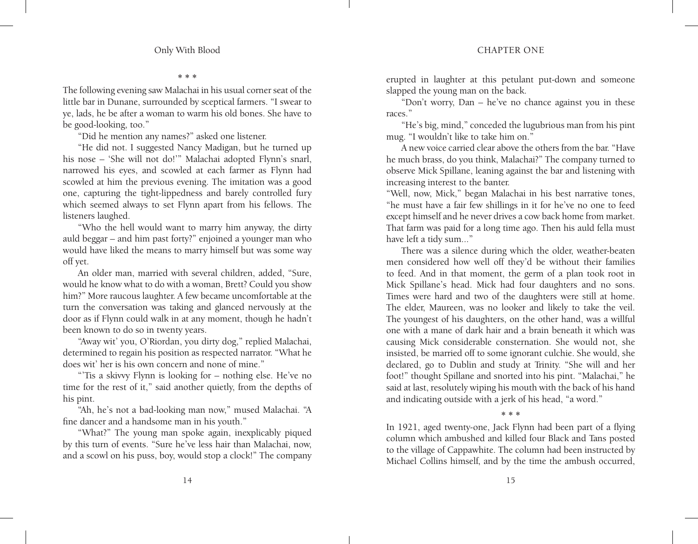### \* \* \*

The following evening saw Malachai in his usual corner seat of the little bar in Dunane, surrounded by sceptical farmers. "I swear to ye, lads, he be after a woman to warm his old bones. She have to be good-looking, too."

"Did he mention any names?" asked one listener.

"He did not. I suggested Nancy Madigan, but he turned up his nose – 'She will not do!'" Malachai adopted Flynn's snarl, narrowed his eyes, and scowled at each farmer as Flynn had scowled at him the previous evening. The imitation was a good one, capturing the tight-lippedness and barely controlled fury which seemed always to set Flynn apart from his fellows. The listeners laughed.

"Who the hell would want to marry him anyway, the dirty auld beggar – and him past forty?" enjoined a younger man who would have liked the means to marry himself but was some way off yet.

An older man, married with several children, added, "Sure, would he know what to do with a woman, Brett? Could you show him?" More raucous laughter. A few became uncomfortable at the turn the conversation was taking and glanced nervously at the door as if Flynn could walk in at any moment, though he hadn't been known to do so in twenty years.

"Away wit' you, O'Riordan, you dirty dog," replied Malachai, determined to regain his position as respected narrator. "What he does wit' her is his own concern and none of mine."

"'Tis a skivvy Flynn is looking for – nothing else. He've no time for the rest of it," said another quietly, from the depths of his pint.

"Ah, he's not a bad-looking man now," mused Malachai. "A fine dancer and a handsome man in his youth."

"What?" The young man spoke again, inexplicably piqued by this turn of events. "Sure he've less hair than Malachai, now, and a scowl on his puss, boy, would stop a clock!" The company erupted in laughter at this petulant put-down and someone slapped the young man on the back.

"Don't worry, Dan – he've no chance against you in these races."

"He's big, mind," conceded the lugubrious man from his pint mug. "I wouldn't like to take him on."

A new voice carried clear above the others from the bar. "Have he much brass, do you think, Malachai?" The company turned to observe Mick Spillane, leaning against the bar and listening with increasing interest to the banter.

"Well, now, Mick," began Malachai in his best narrative tones, "he must have a fair few shillings in it for he've no one to feed except himself and he never drives a cow back home from market. That farm was paid for a long time ago. Then his auld fella must have left a tidy sum..."

There was a silence during which the older, weather-beaten men considered how well off they'd be without their families to feed. And in that moment, the germ of a plan took root in Mick Spillane's head. Mick had four daughters and no sons. Times were hard and two of the daughters were still at home. The elder, Maureen, was no looker and likely to take the veil. The youngest of his daughters, on the other hand, was a willful one with a mane of dark hair and a brain beneath it which was causing Mick considerable consternation. She would not, she insisted, be married off to some ignorant culchie. She would, she declared, go to Dublin and study at Trinity. "She will and her foot!" thought Spillane and snorted into his pint. "Malachai," he said at last, resolutely wiping his mouth with the back of his hand and indicating outside with a jerk of his head, "a word."

### \* \* \*

In 1921, aged twenty-one, Jack Flynn had been part of a flying column which ambushed and killed four Black and Tans posted to the village of Cappawhite. The column had been instructed by Michael Collins himself, and by the time the ambush occurred,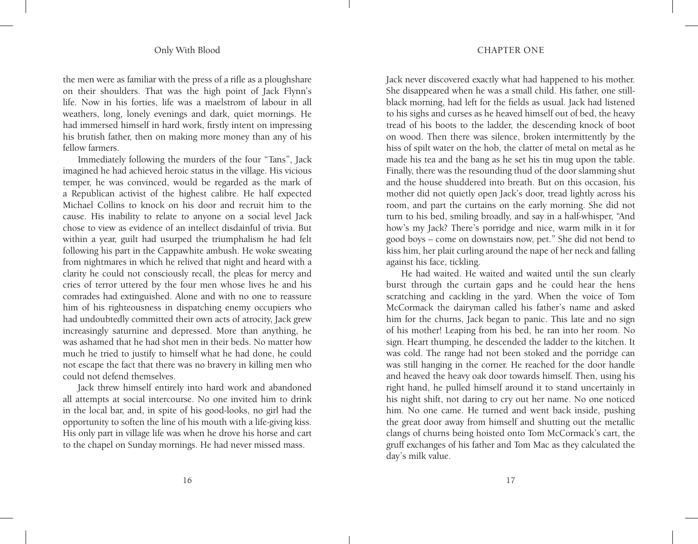the men were as familiar with the press of a rifle as a ploughshare on their shoulders. That was the high point of Jack Flynn's life. Now in his forties, life was a maelstrom of labour in all weathers, long, lonely evenings and dark, quiet mornings. He had immersed himself in hard work, firstly intent on impressing his brutish father, then on making more money than any of his fellow farmers.

Immediately following the murders of the four "Tans", Jack imagined he had achieved heroic status in the village. His vicious temper, he was convinced, would be regarded as the mark of a Republican activist of the highest calibre. He half expected Michael Collins to knock on his door and recruit him to the cause. His inability to relate to anyone on a social level Jack chose to view as evidence of an intellect disdainful of trivia. But within a year, guilt had usurped the triumphalism he had felt following his part in the Cappawhite ambush. He woke sweating from nightmares in which he relived that night and heard with a clarity he could not consciously recall, the pleas for mercy and cries of terror uttered by the four men whose lives he and his comrades had extinguished. Alone and with no one to reassure him of his righteousness in dispatching enemy occupiers who had undoubtedly committed their own acts of atrocity, Jack grew increasingly saturnine and depressed. More than anything, he was ashamed that he had shot men in their beds. No matter how much he tried to justify to himself what he had done, he could not escape the fact that there was no bravery in killing men who could not defend themselves.

Jack threw himself entirely into hard work and abandoned all attempts at social intercourse. No one invited him to drink in the local bar, and, in spite of his good-looks, no girl had the opportunity to soften the line of his mouth with a life-giving kiss. His only part in village life was when he drove his horse and cart to the chapel on Sunday mornings. He had never missed mass.

Jack never discovered exactly what had happened to his mother. She disappeared when he was a small child. His father, one stillblack morning, had left for the fields as usual. Jack had listened to his sighs and curses as he heaved himself out of bed, the heavy tread of his boots to the ladder, the descending knock of boot on wood. Then there was silence, broken intermittently by the hiss of spilt water on the hob, the clatter of metal on metal as he made his tea and the bang as he set his tin mug upon the table. Finally, there was the resounding thud of the door slamming shut and the house shuddered into breath. But on this occasion, his mother did not quietly open Jack's door, tread lightly across his room, and part the curtains on the early morning. She did not turn to his bed, smiling broadly, and say in a half-whisper, "And how's my Jack? There's porridge and nice, warm milk in it for good boys – come on downstairs now, pet." She did not bend to kiss him, her plait curling around the nape of her neck and falling against his face, tickling.

He had waited. He waited and waited until the sun clearly burst through the curtain gaps and he could hear the hens scratching and cackling in the yard. When the voice of Tom McCormack the dairyman called his father's name and asked him for the churns, Jack began to panic. This late and no sign of his mother! Leaping from his bed, he ran into her room. No sign. Heart thumping, he descended the ladder to the kitchen. It was cold. The range had not been stoked and the porridge can was still hanging in the corner. He reached for the door handle and heaved the heavy oak door towards himself. Then, using his right hand, he pulled himself around it to stand uncertainly in his night shift, not daring to cry out her name. No one noticed him. No one came. He turned and went back inside, pushing the great door away from himself and shutting out the metallic clangs of churns being hoisted onto Tom McCormack's cart, the gruff exchanges of his father and Tom Mac as they calculated the day's milk value.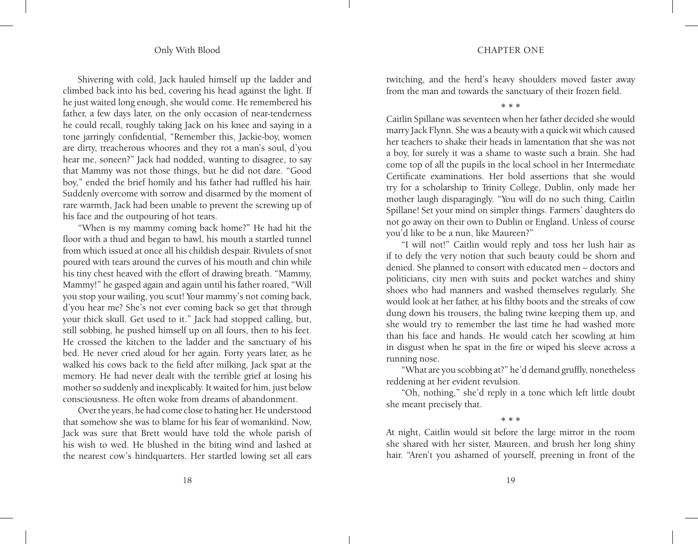Shivering with cold, Jack hauled himself up the ladder and climbed back into his bed, covering his head against the light. If he just waited long enough, she would come. He remembered his father, a few days later, on the only occasion of near-tenderness he could recall, roughly taking Jack on his knee and saying in a tone jarringly confidential, "Remember this, Jackie-boy, women are dirty, treacherous whoores and they rot a man's soul, d'you hear me, soneen?" Jack had nodded, wanting to disagree, to say that Mammy was not those things, but he did not dare. "Good boy," ended the brief homily and his father had ruffled his hair. Suddenly overcome with sorrow and disarmed by the moment of rare warmth, Jack had been unable to prevent the screwing up of his face and the outpouring of hot tears.

"When is my mammy coming back home?" He had hit the floor with a thud and began to bawl, his mouth a startled tunnel from which issued at once all his childish despair. Rivulets of snot poured with tears around the curves of his mouth and chin while his tiny chest heaved with the effort of drawing breath. "Mammy, Mammy!" he gasped again and again until his father roared, "Will you stop your wailing, you scut! Your mammy's not coming back, d'you hear me? She's not ever coming back so get that through your thick skull. Get used to it." Jack had stopped calling, but, still sobbing, he pushed himself up on all fours, then to his feet. He crossed the kitchen to the ladder and the sanctuary of his bed. He never cried aloud for her again. Forty years later, as he walked his cows back to the field after milking, Jack spat at the memory. He had never dealt with the terrible grief at losing his mother so suddenly and inexplicably. It waited for him, just below consciousness. He often woke from dreams of abandonment.

Over the years, he had come close to hating her. He understood that somehow she was to blame for his fear of womankind. Now, Jack was sure that Brett would have told the whole parish of his wish to wed. He blushed in the biting wind and lashed at the nearest cow's hindquarters. Her startled lowing set all ears twitching, and the herd's heavy shoulders moved faster away from the man and towards the sanctuary of their frozen field.

\* \* \*

Caitlin Spillane was seventeen when her father decided she would marry Jack Flynn. She was a beauty with a quick wit which caused her teachers to shake their heads in lamentation that she was not a boy, for surely it was a shame to waste such a brain. She had come top of all the pupils in the local school in her Intermediate Certificate examinations. Her bold assertions that she would try for a scholarship to Trinity College, Dublin, only made her mother laugh disparagingly. "You will do no such thing, Caitlin Spillane! Set your mind on simpler things. Farmers' daughters do not go away on their own to Dublin or England. Unless of course you'd like to be a nun, like Maureen?"

"I will not!" Caitlin would reply and toss her lush hair as if to defy the very notion that such beauty could be shorn and denied. She planned to consort with educated men – doctors and politicians, city men with suits and pocket watches and shiny shoes who had manners and washed themselves regularly. She would look at her father, at his filthy boots and the streaks of cow dung down his trousers, the baling twine keeping them up, and she would try to remember the last time he had washed more than his face and hands. He would catch her scowling at him in disgust when he spat in the fire or wiped his sleeve across a running nose.

"What are you scobbing at?" he'd demand gruffly, nonetheless reddening at her evident revulsion.

"Oh, nothing," she'd reply in a tone which left little doubt she meant precisely that.

\* \* \*

At night, Caitlin would sit before the large mirror in the room she shared with her sister, Maureen, and brush her long shiny hair. "Aren't you ashamed of yourself, preening in front of the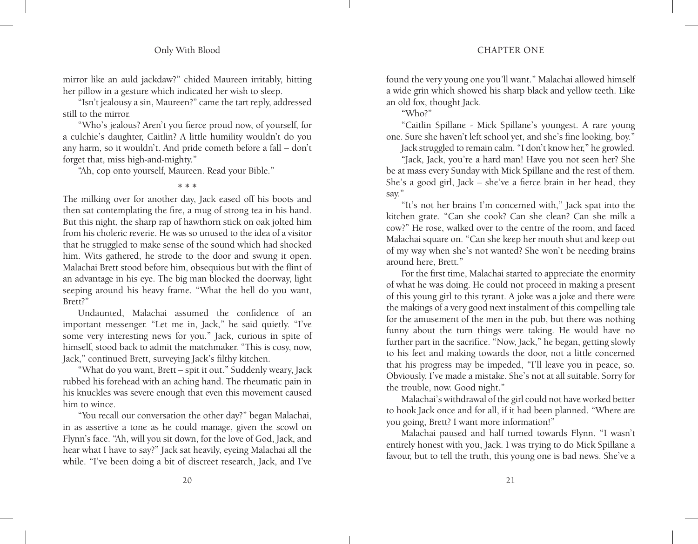mirror like an auld jackdaw?" chided Maureen irritably, hitting her pillow in a gesture which indicated her wish to sleep.

"Isn't jealousy a sin, Maureen?" came the tart reply, addressed still to the mirror.

"Who's jealous? Aren't you fierce proud now, of yourself, for a culchie's daughter, Caitlin? A little humility wouldn't do you any harm, so it wouldn't. And pride cometh before a fall – don't forget that, miss high-and-mighty."

"Ah, cop onto yourself, Maureen. Read your Bible."

### \* \* \*

The milking over for another day, Jack eased off his boots and then sat contemplating the fire, a mug of strong tea in his hand. But this night, the sharp rap of hawthorn stick on oak jolted him from his choleric reverie. He was so unused to the idea of a visitor that he struggled to make sense of the sound which had shocked him. Wits gathered, he strode to the door and swung it open. Malachai Brett stood before him, obsequious but with the flint of an advantage in his eye. The big man blocked the doorway, light seeping around his heavy frame. "What the hell do you want, Brett?"

Undaunted, Malachai assumed the confidence of an important messenger. "Let me in, Jack," he said quietly. "I've some very interesting news for you." Jack, curious in spite of himself, stood back to admit the matchmaker. "This is cosy, now, Jack," continued Brett, surveying Jack's filthy kitchen.

"What do you want, Brett – spit it out." Suddenly weary, Jack rubbed his forehead with an aching hand. The rheumatic pain in his knuckles was severe enough that even this movement caused him to wince.

"You recall our conversation the other day?" began Malachai, in as assertive a tone as he could manage, given the scowl on Flynn's face. "Ah, will you sit down, for the love of God, Jack, and hear what I have to say?" Jack sat heavily, eyeing Malachai all the while. "I've been doing a bit of discreet research, Jack, and I've found the very young one you'll want." Malachai allowed himself a wide grin which showed his sharp black and yellow teeth. Like an old fox, thought Jack.

"Who?"

"Caitlin Spillane - Mick Spillane's youngest. A rare young one. Sure she haven't left school yet, and she's fine looking, boy."

Jack struggled to remain calm. "I don't know her," he growled.

"Jack, Jack, you're a hard man! Have you not seen her? She be at mass every Sunday with Mick Spillane and the rest of them. She's a good girl, Jack – she've a fierce brain in her head, they say."

"It's not her brains I'm concerned with," Jack spat into the kitchen grate. "Can she cook? Can she clean? Can she milk a cow?" He rose, walked over to the centre of the room, and faced Malachai square on. "Can she keep her mouth shut and keep out of my way when she's not wanted? She won't be needing brains around here, Brett."

For the first time, Malachai started to appreciate the enormity of what he was doing. He could not proceed in making a present of this young girl to this tyrant. A joke was a joke and there were the makings of a very good next instalment of this compelling tale for the amusement of the men in the pub, but there was nothing funny about the turn things were taking. He would have no further part in the sacrifice. "Now, Jack," he began, getting slowly to his feet and making towards the door, not a little concerned that his progress may be impeded, "I'll leave you in peace, so. Obviously, I've made a mistake. She's not at all suitable. Sorry for the trouble, now. Good night."

Malachai's withdrawal of the girl could not have worked better to hook Jack once and for all, if it had been planned. "Where are you going, Brett? I want more information!"

Malachai paused and half turned towards Flynn. "I wasn't entirely honest with you, Jack. I was trying to do Mick Spillane a favour, but to tell the truth, this young one is bad news. She've a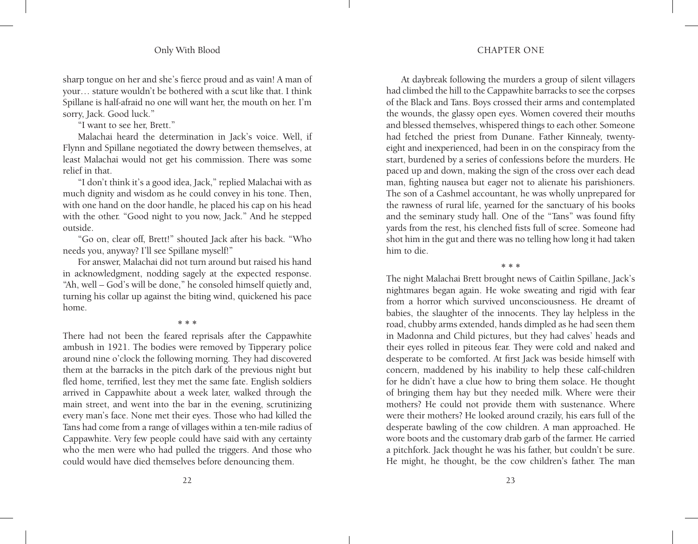sharp tongue on her and she's fierce proud and as vain! A man of your… stature wouldn't be bothered with a scut like that. I think Spillane is half-afraid no one will want her, the mouth on her. I'm sorry, Jack. Good luck."

"I want to see her, Brett."

Malachai heard the determination in Jack's voice. Well, if Flynn and Spillane negotiated the dowry between themselves, at least Malachai would not get his commission. There was some relief in that.

"I don't think it's a good idea, Jack," replied Malachai with as much dignity and wisdom as he could convey in his tone. Then, with one hand on the door handle, he placed his cap on his head with the other. "Good night to you now, Jack." And he stepped outside.

"Go on, clear off, Brett!" shouted Jack after his back. "Who needs you, anyway? I'll see Spillane myself!"

For answer, Malachai did not turn around but raised his hand in acknowledgment, nodding sagely at the expected response. "Ah, well – God's will be done," he consoled himself quietly and, turning his collar up against the biting wind, quickened his pace home.

\* \* \*

There had not been the feared reprisals after the Cappawhite ambush in 1921. The bodies were removed by Tipperary police around nine o'clock the following morning. They had discovered them at the barracks in the pitch dark of the previous night but fled home, terrified, lest they met the same fate. English soldiers arrived in Cappawhite about a week later, walked through the main street, and went into the bar in the evening, scrutinizing every man's face. None met their eyes. Those who had killed the Tans had come from a range of villages within a ten-mile radius of Cappawhite. Very few people could have said with any certainty who the men were who had pulled the triggers. And those who could would have died themselves before denouncing them.

At daybreak following the murders a group of silent villagers had climbed the hill to the Cappawhite barracks to see the corpses of the Black and Tans. Boys crossed their arms and contemplated the wounds, the glassy open eyes. Women covered their mouths and blessed themselves, whispered things to each other. Someone had fetched the priest from Dunane. Father Kinnealy, twentyeight and inexperienced, had been in on the conspiracy from the start, burdened by a series of confessions before the murders. He paced up and down, making the sign of the cross over each dead man, fighting nausea but eager not to alienate his parishioners. The son of a Cashmel accountant, he was wholly unprepared for the rawness of rural life, yearned for the sanctuary of his books and the seminary study hall. One of the "Tans" was found fifty yards from the rest, his clenched fists full of scree. Someone had shot him in the gut and there was no telling how long it had taken him to die.

\* \* \*

The night Malachai Brett brought news of Caitlin Spillane, Jack's nightmares began again. He woke sweating and rigid with fear from a horror which survived unconsciousness. He dreamt of babies, the slaughter of the innocents. They lay helpless in the road, chubby arms extended, hands dimpled as he had seen them in Madonna and Child pictures, but they had calves' heads and their eyes rolled in piteous fear. They were cold and naked and desperate to be comforted. At first Jack was beside himself with concern, maddened by his inability to help these calf-children for he didn't have a clue how to bring them solace. He thought of bringing them hay but they needed milk. Where were their mothers? He could not provide them with sustenance. Where were their mothers? He looked around crazily, his ears full of the desperate bawling of the cow children. A man approached. He wore boots and the customary drab garb of the farmer. He carried a pitchfork. Jack thought he was his father, but couldn't be sure. He might, he thought, be the cow children's father. The man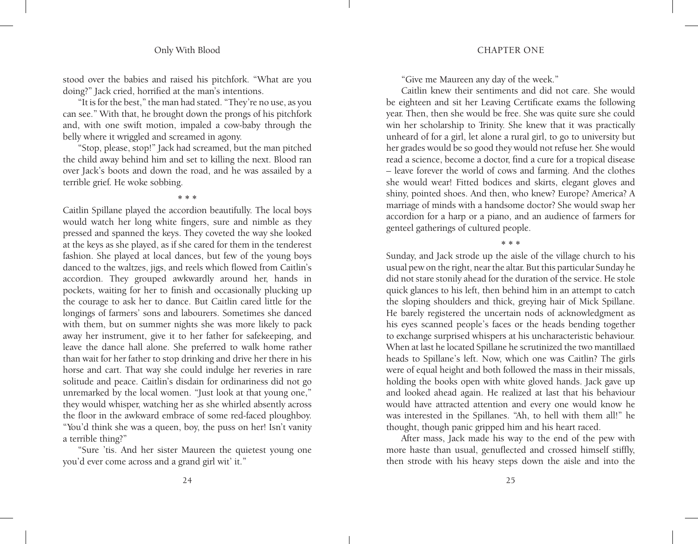stood over the babies and raised his pitchfork. "What are you doing?" Jack cried, horrified at the man's intentions.

"It is for the best," the man had stated. "They're no use, as you can see." With that, he brought down the prongs of his pitchfork and, with one swift motion, impaled a cow-baby through the belly where it wriggled and screamed in agony.

"Stop, please, stop!" Jack had screamed, but the man pitched the child away behind him and set to killing the next. Blood ran over Jack's boots and down the road, and he was assailed by a terrible grief. He woke sobbing.

\* \* \*

Caitlin Spillane played the accordion beautifully. The local boys would watch her long white fingers, sure and nimble as they pressed and spanned the keys. They coveted the way she looked at the keys as she played, as if she cared for them in the tenderest fashion. She played at local dances, but few of the young boys danced to the waltzes, jigs, and reels which flowed from Caitlin's accordion. They grouped awkwardly around her, hands in pockets, waiting for her to finish and occasionally plucking up the courage to ask her to dance. But Caitlin cared little for the longings of farmers' sons and labourers. Sometimes she danced with them, but on summer nights she was more likely to pack away her instrument, give it to her father for safekeeping, and leave the dance hall alone. She preferred to walk home rather than wait for her father to stop drinking and drive her there in his horse and cart. That way she could indulge her reveries in rare solitude and peace. Caitlin's disdain for ordinariness did not go unremarked by the local women. "Just look at that young one," they would whisper, watching her as she whirled absently across the floor in the awkward embrace of some red-faced ploughboy. "You'd think she was a queen, boy, the puss on her! Isn't vanity a terrible thing?"

"Sure 'tis. And her sister Maureen the quietest young one you'd ever come across and a grand girl wit' it."

"Give me Maureen any day of the week."

Caitlin knew their sentiments and did not care. She would be eighteen and sit her Leaving Certificate exams the following year. Then, then she would be free. She was quite sure she could win her scholarship to Trinity. She knew that it was practically unheard of for a girl, let alone a rural girl, to go to university but her grades would be so good they would not refuse her. She would read a science, become a doctor, find a cure for a tropical disease – leave forever the world of cows and farming. And the clothes she would wear! Fitted bodices and skirts, elegant gloves and shiny, pointed shoes. And then, who knew? Europe? America? A marriage of minds with a handsome doctor? She would swap her accordion for a harp or a piano, and an audience of farmers for genteel gatherings of cultured people.

\* \* \*

Sunday, and Jack strode up the aisle of the village church to his usual pew on the right, near the altar. But this particular Sunday he did not stare stonily ahead for the duration of the service. He stole quick glances to his left, then behind him in an attempt to catch the sloping shoulders and thick, greying hair of Mick Spillane. He barely registered the uncertain nods of acknowledgment as his eyes scanned people's faces or the heads bending together to exchange surprised whispers at his uncharacteristic behaviour. When at last he located Spillane he scrutinized the two mantillaed heads to Spillane's left. Now, which one was Caitlin? The girls were of equal height and both followed the mass in their missals, holding the books open with white gloved hands. Jack gave up and looked ahead again. He realized at last that his behaviour would have attracted attention and every one would know he was interested in the Spillanes. "Ah, to hell with them all!" he thought, though panic gripped him and his heart raced.

After mass, Jack made his way to the end of the pew with more haste than usual, genuflected and crossed himself stiffly, then strode with his heavy steps down the aisle and into the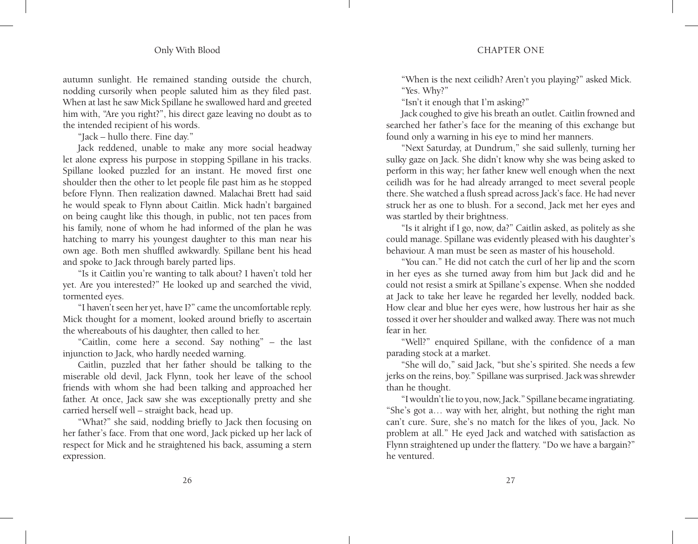autumn sunlight. He remained standing outside the church, nodding cursorily when people saluted him as they filed past. When at last he saw Mick Spillane he swallowed hard and greeted him with, "Are you right?", his direct gaze leaving no doubt as to the intended recipient of his words.

"Jack – hullo there. Fine day."

Jack reddened, unable to make any more social headway let alone express his purpose in stopping Spillane in his tracks. Spillane looked puzzled for an instant. He moved first one shoulder then the other to let people file past him as he stopped before Flynn. Then realization dawned. Malachai Brett had said he would speak to Flynn about Caitlin. Mick hadn't bargained on being caught like this though, in public, not ten paces from his family, none of whom he had informed of the plan he was hatching to marry his youngest daughter to this man near his own age. Both men shuffled awkwardly. Spillane bent his head and spoke to Jack through barely parted lips.

"Is it Caitlin you're wanting to talk about? I haven't told her yet. Are you interested?" He looked up and searched the vivid, tormented eyes.

"I haven't seen her yet, have I?" came the uncomfortable reply. Mick thought for a moment, looked around briefly to ascertain the whereabouts of his daughter, then called to her.

"Caitlin, come here a second. Say nothing" – the last injunction to Jack, who hardly needed warning.

Caitlin, puzzled that her father should be talking to the miserable old devil, Jack Flynn, took her leave of the school friends with whom she had been talking and approached her father. At once, Jack saw she was exceptionally pretty and she carried herself well – straight back, head up.

"What?" she said, nodding briefly to Jack then focusing on her father's face. From that one word, Jack picked up her lack of respect for Mick and he straightened his back, assuming a stern expression.

"When is the next ceilidh? Aren't you playing?" asked Mick. "Yes. Why?"

"Isn't it enough that I'm asking?"

Jack coughed to give his breath an outlet. Caitlin frowned and searched her father's face for the meaning of this exchange but found only a warning in his eye to mind her manners.

"Next Saturday, at Dundrum," she said sullenly, turning her sulky gaze on Jack. She didn't know why she was being asked to perform in this way; her father knew well enough when the next ceilidh was for he had already arranged to meet several people there. She watched a flush spread across Jack's face. He had never struck her as one to blush. For a second, Jack met her eyes and was startled by their brightness.

"Is it alright if I go, now, da?" Caitlin asked, as politely as she could manage. Spillane was evidently pleased with his daughter's behaviour. A man must be seen as master of his household.

"You can." He did not catch the curl of her lip and the scorn in her eyes as she turned away from him but Jack did and he could not resist a smirk at Spillane's expense. When she nodded at Jack to take her leave he regarded her levelly, nodded back. How clear and blue her eyes were, how lustrous her hair as she tossed it over her shoulder and walked away. There was not much fear in her.

"Well?" enquired Spillane, with the confidence of a man parading stock at a market.

"She will do," said Jack, "but she's spirited. She needs a few jerks on the reins, boy." Spillane was surprised. Jack was shrewder than he thought.

"I wouldn't lie to you, now, Jack." Spillane became ingratiating. "She's got a… way with her, alright, but nothing the right man can't cure. Sure, she's no match for the likes of you, Jack. No problem at all." He eyed Jack and watched with satisfaction as Flynn straightened up under the flattery. "Do we have a bargain?" he ventured.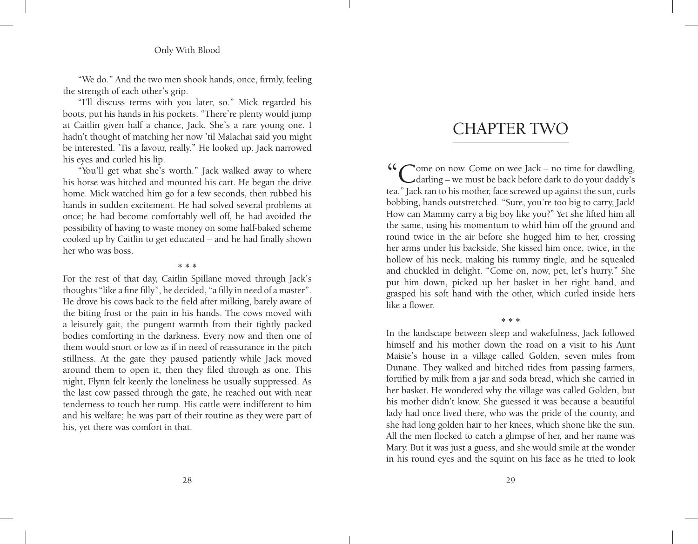"We do." And the two men shook hands, once, firmly, feeling the strength of each other's grip.

"I'll discuss terms with you later, so." Mick regarded his boots, put his hands in his pockets. "There're plenty would jump at Caitlin given half a chance, Jack. She's a rare young one. I hadn't thought of matching her now 'til Malachai said you might be interested. 'Tis a favour, really." He looked up. Jack narrowed his eyes and curled his lip.

"You'll get what she's worth." Jack walked away to where his horse was hitched and mounted his cart. He began the drive home. Mick watched him go for a few seconds, then rubbed his hands in sudden excitement. He had solved several problems at once; he had become comfortably well off, he had avoided the possibility of having to waste money on some half-baked scheme cooked up by Caitlin to get educated – and he had finally shown her who was boss.

\* \* \*

For the rest of that day, Caitlin Spillane moved through Jack's thoughts "like a fine filly", he decided, "a filly in need of a master". He drove his cows back to the field after milking, barely aware of the biting frost or the pain in his hands. The cows moved with a leisurely gait, the pungent warmth from their tightly packed bodies comforting in the darkness. Every now and then one of them would snort or low as if in need of reassurance in the pitch stillness. At the gate they paused patiently while Jack moved around them to open it, then they filed through as one. This night, Flynn felt keenly the loneliness he usually suppressed. As the last cow passed through the gate, he reached out with near tenderness to touch her rump. His cattle were indifferent to him and his welfare; he was part of their routine as they were part of his, yet there was comfort in that.

# CHAPTER TWO

 $\begin{array}{c} \n\text{Come on now.} \n\text{Come on we back} - \text{no time for dawelling,} \n\text{darding - we must be back before dark to do your daddy's} \n\end{array}$ tea." Jack ran to his mother, face screwed up against the sun, curls bobbing, hands outstretched. "Sure, you're too big to carry, Jack! How can Mammy carry a big boy like you?" Yet she lifted him all the same, using his momentum to whirl him off the ground and round twice in the air before she hugged him to her, crossing her arms under his backside. She kissed him once, twice, in the hollow of his neck, making his tummy tingle, and he squealed and chuckled in delight. "Come on, now, pet, let's hurry." She put him down, picked up her basket in her right hand, and grasped his soft hand with the other, which curled inside hers like a flower.

\* \* \*

In the landscape between sleep and wakefulness, Jack followed himself and his mother down the road on a visit to his Aunt Maisie's house in a village called Golden, seven miles from Dunane. They walked and hitched rides from passing farmers, fortified by milk from a jar and soda bread, which she carried in her basket. He wondered why the village was called Golden, but his mother didn't know. She guessed it was because a beautiful lady had once lived there, who was the pride of the county, and she had long golden hair to her knees, which shone like the sun. All the men flocked to catch a glimpse of her, and her name was Mary. But it was just a guess, and she would smile at the wonder in his round eyes and the squint on his face as he tried to look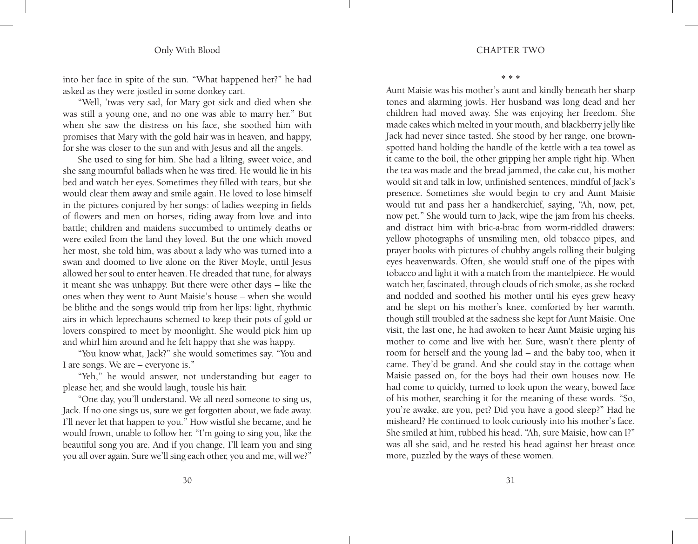into her face in spite of the sun. "What happened her?" he had asked as they were jostled in some donkey cart.

"Well, 'twas very sad, for Mary got sick and died when she was still a young one, and no one was able to marry her." But when she saw the distress on his face, she soothed him with promises that Mary with the gold hair was in heaven, and happy, for she was closer to the sun and with Jesus and all the angels.

She used to sing for him. She had a lilting, sweet voice, and she sang mournful ballads when he was tired. He would lie in his bed and watch her eyes. Sometimes they filled with tears, but she would clear them away and smile again. He loved to lose himself in the pictures conjured by her songs: of ladies weeping in fields of flowers and men on horses, riding away from love and into battle; children and maidens succumbed to untimely deaths or were exiled from the land they loved. But the one which moved her most, she told him, was about a lady who was turned into a swan and doomed to live alone on the River Moyle, until Jesus allowed her soul to enter heaven. He dreaded that tune, for always it meant she was unhappy. But there were other days – like the ones when they went to Aunt Maisie's house – when she would be blithe and the songs would trip from her lips: light, rhythmic airs in which leprechauns schemed to keep their pots of gold or lovers conspired to meet by moonlight. She would pick him up and whirl him around and he felt happy that she was happy.

"You know what, Jack?" she would sometimes say. "You and I are songs. We are – everyone is."

"Yeh," he would answer, not understanding but eager to please her, and she would laugh, tousle his hair.

"One day, you'll understand. We all need someone to sing us, Jack. If no one sings us, sure we get forgotten about, we fade away. I'll never let that happen to you." How wistful she became, and he would frown, unable to follow her. "I'm going to sing you, like the beautiful song you are. And if you change, I'll learn you and sing you all over again. Sure we'll sing each other, you and me, will we?" \* \* \*

Aunt Maisie was his mother's aunt and kindly beneath her sharp tones and alarming jowls. Her husband was long dead and her children had moved away. She was enjoying her freedom. She made cakes which melted in your mouth, and blackberry jelly like Jack had never since tasted. She stood by her range, one brownspotted hand holding the handle of the kettle with a tea towel as it came to the boil, the other gripping her ample right hip. When the tea was made and the bread jammed, the cake cut, his mother would sit and talk in low, unfinished sentences, mindful of Jack's presence. Sometimes she would begin to cry and Aunt Maisie would tut and pass her a handkerchief, saying, "Ah, now, pet, now pet." She would turn to Jack, wipe the jam from his cheeks, and distract him with bric-a-brac from worm-riddled drawers: yellow photographs of unsmiling men, old tobacco pipes, and prayer books with pictures of chubby angels rolling their bulging eyes heavenwards. Often, she would stuff one of the pipes with tobacco and light it with a match from the mantelpiece. He would watch her, fascinated, through clouds of rich smoke, as she rocked and nodded and soothed his mother until his eyes grew heavy and he slept on his mother's knee, comforted by her warmth, though still troubled at the sadness she kept for Aunt Maisie. One visit, the last one, he had awoken to hear Aunt Maisie urging his mother to come and live with her. Sure, wasn't there plenty of room for herself and the young lad – and the baby too, when it came. They'd be grand. And she could stay in the cottage when Maisie passed on, for the boys had their own houses now. He had come to quickly, turned to look upon the weary, bowed face of his mother, searching it for the meaning of these words. "So, you're awake, are you, pet? Did you have a good sleep?" Had he misheard? He continued to look curiously into his mother's face. She smiled at him, rubbed his head. "Ah, sure Maisie, how can I?" was all she said, and he rested his head against her breast once more, puzzled by the ways of these women.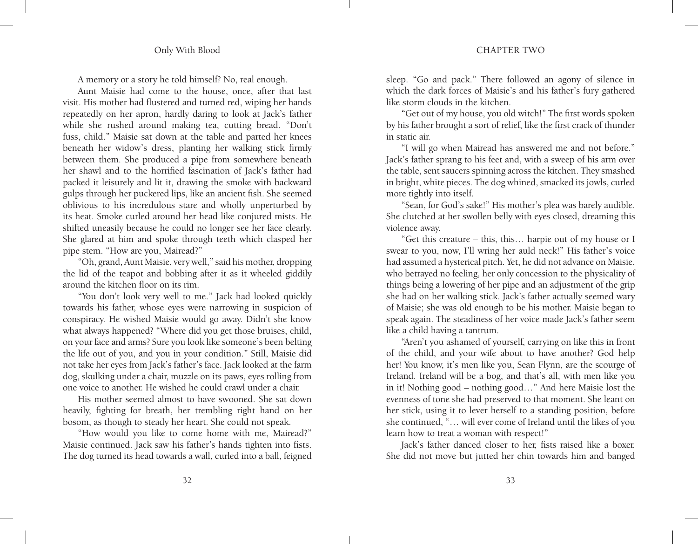A memory or a story he told himself? No, real enough.

Aunt Maisie had come to the house, once, after that last visit. His mother had flustered and turned red, wiping her hands repeatedly on her apron, hardly daring to look at Jack's father while she rushed around making tea, cutting bread. "Don't fuss, child." Maisie sat down at the table and parted her knees beneath her widow's dress, planting her walking stick firmly between them. She produced a pipe from somewhere beneath her shawl and to the horrified fascination of Jack's father had packed it leisurely and lit it, drawing the smoke with backward gulps through her puckered lips, like an ancient fish. She seemed oblivious to his incredulous stare and wholly unperturbed by its heat. Smoke curled around her head like conjured mists. He shifted uneasily because he could no longer see her face clearly. She glared at him and spoke through teeth which clasped her pipe stem. "How are you, Mairead?"

"Oh, grand, Aunt Maisie, very well," said his mother, dropping the lid of the teapot and bobbing after it as it wheeled giddily around the kitchen floor on its rim.

"You don't look very well to me." Jack had looked quickly towards his father, whose eyes were narrowing in suspicion of conspiracy. He wished Maisie would go away. Didn't she know what always happened? "Where did you get those bruises, child, on your face and arms? Sure you look like someone's been belting the life out of you, and you in your condition." Still, Maisie did not take her eyes from Jack's father's face. Jack looked at the farm dog, skulking under a chair, muzzle on its paws, eyes rolling from one voice to another. He wished he could crawl under a chair.

His mother seemed almost to have swooned. She sat down heavily, fighting for breath, her trembling right hand on her bosom, as though to steady her heart. She could not speak.

"How would you like to come home with me, Mairead?" Maisie continued. Jack saw his father's hands tighten into fists. The dog turned its head towards a wall, curled into a ball, feigned sleep. "Go and pack." There followed an agony of silence in which the dark forces of Maisie's and his father's fury gathered like storm clouds in the kitchen.

"Get out of my house, you old witch!" The first words spoken by his father brought a sort of relief, like the first crack of thunder in static air.

"I will go when Mairead has answered me and not before." Jack's father sprang to his feet and, with a sweep of his arm over the table, sent saucers spinning across the kitchen. They smashed in bright, white pieces. The dog whined, smacked its jowls, curled more tightly into itself.

"Sean, for God's sake!" His mother's plea was barely audible. She clutched at her swollen belly with eyes closed, dreaming this violence away.

"Get this creature – this, this… harpie out of my house or I swear to you, now, I'll wring her auld neck!" His father's voice had assumed a hysterical pitch. Yet, he did not advance on Maisie, who betrayed no feeling, her only concession to the physicality of things being a lowering of her pipe and an adjustment of the grip she had on her walking stick. Jack's father actually seemed wary of Maisie; she was old enough to be his mother. Maisie began to speak again. The steadiness of her voice made Jack's father seem like a child having a tantrum.

"Aren't you ashamed of yourself, carrying on like this in front of the child, and your wife about to have another? God help her! You know, it's men like you, Sean Flynn, are the scourge of Ireland. Ireland will be a bog, and that's all, with men like you in it! Nothing good – nothing good…" And here Maisie lost the evenness of tone she had preserved to that moment. She leant on her stick, using it to lever herself to a standing position, before she continued, "… will ever come of Ireland until the likes of you learn how to treat a woman with respect!"

Jack's father danced closer to her, fists raised like a boxer. She did not move but jutted her chin towards him and banged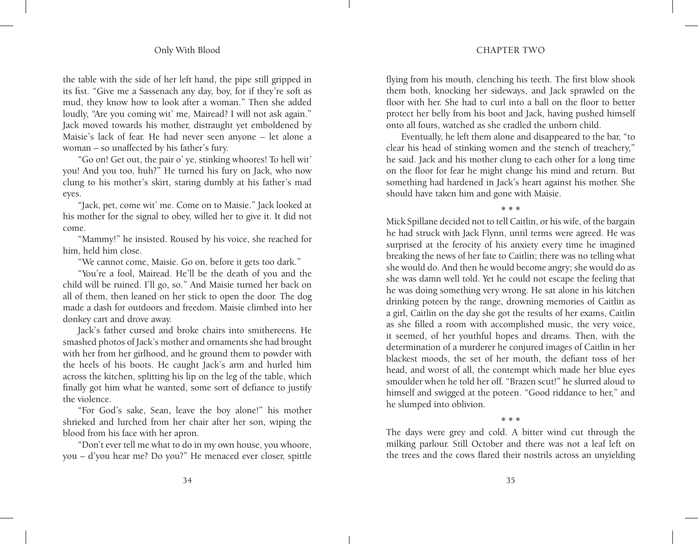the table with the side of her left hand, the pipe still gripped in its fist. "Give me a Sassenach any day, boy, for if they're soft as mud, they know how to look after a woman." Then she added loudly, "Are you coming wit' me, Mairead? I will not ask again." Jack moved towards his mother, distraught yet emboldened by Maisie's lack of fear. He had never seen anyone – let alone a woman – so unaffected by his father's fury.

"Go on! Get out, the pair o' ye, stinking whoores! To hell wit' you! And you too, huh?" He turned his fury on Jack, who now clung to his mother's skirt, staring dumbly at his father's mad eyes.

"Jack, pet, come wit' me. Come on to Maisie." Jack looked at his mother for the signal to obey, willed her to give it. It did not come.

"Mammy!" he insisted. Roused by his voice, she reached for him, held him close.

"We cannot come, Maisie. Go on, before it gets too dark."

"You're a fool, Mairead. He'll be the death of you and the child will be ruined. I'll go, so." And Maisie turned her back on all of them, then leaned on her stick to open the door. The dog made a dash for outdoors and freedom. Maisie climbed into her donkey cart and drove away.

Jack's father cursed and broke chairs into smithereens. He smashed photos of Jack's mother and ornaments she had brought with her from her girlhood, and he ground them to powder with the heels of his boots. He caught Jack's arm and hurled him across the kitchen, splitting his lip on the leg of the table, which finally got him what he wanted, some sort of defiance to justify the violence.

"For God's sake, Sean, leave the boy alone!" his mother shrieked and lurched from her chair after her son, wiping the blood from his face with her apron.

"Don't ever tell me what to do in my own house, you whoore, you – d'you hear me? Do you?" He menaced ever closer, spittle flying from his mouth, clenching his teeth. The first blow shook them both, knocking her sideways, and Jack sprawled on the floor with her. She had to curl into a ball on the floor to better protect her belly from his boot and Jack, having pushed himself onto all fours, watched as she cradled the unborn child.

Eventually, he left them alone and disappeared to the bar, "to clear his head of stinking women and the stench of treachery," he said. Jack and his mother clung to each other for a long time on the floor for fear he might change his mind and return. But something had hardened in Jack's heart against his mother. She should have taken him and gone with Maisie.

\* \* \*

Mick Spillane decided not to tell Caitlin, or his wife, of the bargain he had struck with Jack Flynn, until terms were agreed. He was surprised at the ferocity of his anxiety every time he imagined breaking the news of her fate to Caitlin; there was no telling what she would do. And then he would become angry; she would do as she was damn well told. Yet he could not escape the feeling that he was doing something very wrong. He sat alone in his kitchen drinking poteen by the range, drowning memories of Caitlin as a girl, Caitlin on the day she got the results of her exams, Caitlin as she filled a room with accomplished music, the very voice, it seemed, of her youthful hopes and dreams. Then, with the determination of a murderer he conjured images of Caitlin in her blackest moods, the set of her mouth, the defiant toss of her head, and worst of all, the contempt which made her blue eyes smoulder when he told her off. "Brazen scut!" he slurred aloud to himself and swigged at the poteen. "Good riddance to her," and he slumped into oblivion.

\* \* \*

The days were grey and cold. A bitter wind cut through the milking parlour. Still October and there was not a leaf left on the trees and the cows flared their nostrils across an unyielding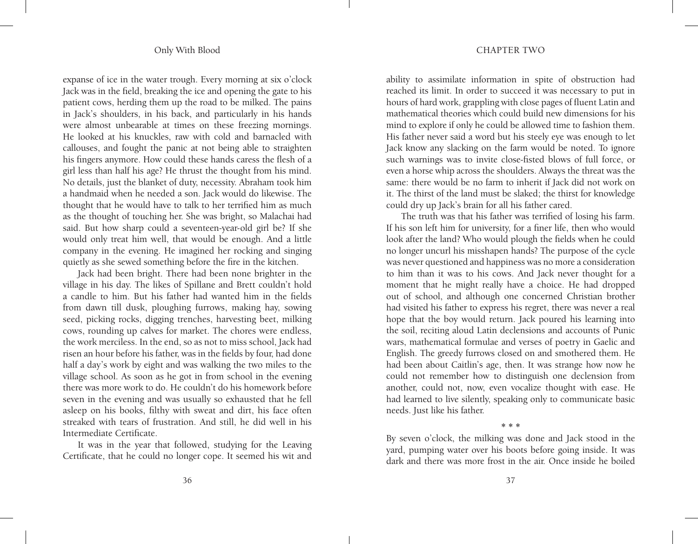Only With Blood CHAPTER TWO

expanse of ice in the water trough. Every morning at six o'clock Jack was in the field, breaking the ice and opening the gate to his patient cows, herding them up the road to be milked. The pains in Jack's shoulders, in his back, and particularly in his hands were almost unbearable at times on these freezing mornings. He looked at his knuckles, raw with cold and barnacled with callouses, and fought the panic at not being able to straighten his fingers anymore. How could these hands caress the flesh of a girl less than half his age? He thrust the thought from his mind. No details, just the blanket of duty, necessity. Abraham took him a handmaid when he needed a son. Jack would do likewise. The thought that he would have to talk to her terrified him as much as the thought of touching her. She was bright, so Malachai had said. But how sharp could a seventeen-year-old girl be? If she would only treat him well, that would be enough. And a little company in the evening. He imagined her rocking and singing quietly as she sewed something before the fire in the kitchen.

Jack had been bright. There had been none brighter in the village in his day. The likes of Spillane and Brett couldn't hold a candle to him. But his father had wanted him in the fields from dawn till dusk, ploughing furrows, making hay, sowing seed, picking rocks, digging trenches, harvesting beet, milking cows, rounding up calves for market. The chores were endless, the work merciless. In the end, so as not to miss school, Jack had risen an hour before his father, was in the fields by four, had done half a day's work by eight and was walking the two miles to the village school. As soon as he got in from school in the evening there was more work to do. He couldn't do his homework before seven in the evening and was usually so exhausted that he fell asleep on his books, filthy with sweat and dirt, his face often streaked with tears of frustration. And still, he did well in his Intermediate Certificate.

It was in the year that followed, studying for the Leaving Certificate, that he could no longer cope. It seemed his wit and ability to assimilate information in spite of obstruction had reached its limit. In order to succeed it was necessary to put in hours of hard work, grappling with close pages of fluent Latin and mathematical theories which could build new dimensions for his mind to explore if only he could be allowed time to fashion them. His father never said a word but his steely eye was enough to let Jack know any slacking on the farm would be noted. To ignore such warnings was to invite close-fisted blows of full force, or even a horse whip across the shoulders. Always the threat was the same: there would be no farm to inherit if Jack did not work on it. The thirst of the land must be slaked; the thirst for knowledge could dry up Jack's brain for all his father cared.

The truth was that his father was terrified of losing his farm. If his son left him for university, for a finer life, then who would look after the land? Who would plough the fields when he could no longer uncurl his misshapen hands? The purpose of the cycle was never questioned and happiness was no more a consideration to him than it was to his cows. And Jack never thought for a moment that he might really have a choice. He had dropped out of school, and although one concerned Christian brother had visited his father to express his regret, there was never a real hope that the boy would return. Jack poured his learning into the soil, reciting aloud Latin declensions and accounts of Punic wars, mathematical formulae and verses of poetry in Gaelic and English. The greedy furrows closed on and smothered them. He had been about Caitlin's age, then. It was strange how now he could not remember how to distinguish one declension from another, could not, now, even vocalize thought with ease. He had learned to live silently, speaking only to communicate basic needs. Just like his father.

\* \* \*

By seven o'clock, the milking was done and Jack stood in the yard, pumping water over his boots before going inside. It was dark and there was more frost in the air. Once inside he boiled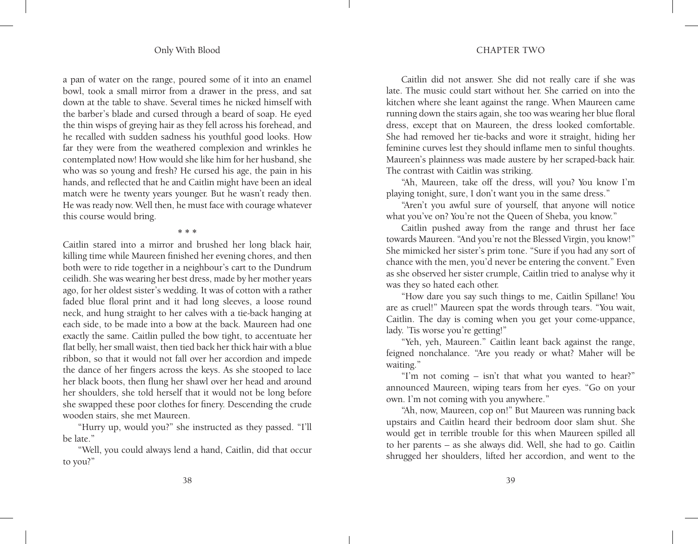a pan of water on the range, poured some of it into an enamel bowl, took a small mirror from a drawer in the press, and sat down at the table to shave. Several times he nicked himself with the barber's blade and cursed through a beard of soap. He eyed the thin wisps of greying hair as they fell across his forehead, and he recalled with sudden sadness his youthful good looks. How far they were from the weathered complexion and wrinkles he contemplated now! How would she like him for her husband, she who was so young and fresh? He cursed his age, the pain in his hands, and reflected that he and Caitlin might have been an ideal match were he twenty years younger. But he wasn't ready then. He was ready now. Well then, he must face with courage whatever this course would bring.

Caitlin stared into a mirror and brushed her long black hair, killing time while Maureen finished her evening chores, and then both were to ride together in a neighbour's cart to the Dundrum ceilidh. She was wearing her best dress, made by her mother years ago, for her oldest sister's wedding. It was of cotton with a rather faded blue floral print and it had long sleeves, a loose round neck, and hung straight to her calves with a tie-back hanging at each side, to be made into a bow at the back. Maureen had one exactly the same. Caitlin pulled the bow tight, to accentuate her flat belly, her small waist, then tied back her thick hair with a blue ribbon, so that it would not fall over her accordion and impede the dance of her fingers across the keys. As she stooped to lace her black boots, then flung her shawl over her head and around her shoulders, she told herself that it would not be long before she swapped these poor clothes for finery. Descending the crude wooden stairs, she met Maureen.

"Hurry up, would you?" she instructed as they passed. "I'll be late."

"Well, you could always lend a hand, Caitlin, did that occur to you?"

Caitlin did not answer. She did not really care if she was late. The music could start without her. She carried on into the kitchen where she leant against the range. When Maureen came running down the stairs again, she too was wearing her blue floral dress, except that on Maureen, the dress looked comfortable. She had removed her tie-backs and wore it straight, hiding her feminine curves lest they should inflame men to sinful thoughts. Maureen's plainness was made austere by her scraped-back hair. The contrast with Caitlin was striking.

"Ah, Maureen, take off the dress, will you? You know I'm playing tonight, sure, I don't want you in the same dress."

"Aren't you awful sure of yourself, that anyone will notice what you've on? You're not the Queen of Sheba, you know."

Caitlin pushed away from the range and thrust her face towards Maureen. "And you're not the Blessed Virgin, you know!" She mimicked her sister's prim tone. "Sure if you had any sort of chance with the men, you'd never be entering the convent." Even as she observed her sister crumple, Caitlin tried to analyse why it was they so hated each other.

"How dare you say such things to me, Caitlin Spillane! You are as cruel!" Maureen spat the words through tears. "You wait, Caitlin. The day is coming when you get your come-uppance, lady. 'Tis worse you're getting!"

"Yeh, yeh, Maureen." Caitlin leant back against the range, feigned nonchalance. "Are you ready or what? Maher will be waiting."

"I'm not coming – isn't that what you wanted to hear?" announced Maureen, wiping tears from her eyes. "Go on your own. I'm not coming with you anywhere."

"Ah, now, Maureen, cop on!" But Maureen was running back upstairs and Caitlin heard their bedroom door slam shut. She would get in terrible trouble for this when Maureen spilled all to her parents – as she always did. Well, she had to go. Caitlin shrugged her shoulders, lifted her accordion, and went to the

<sup>\* \* \*</sup>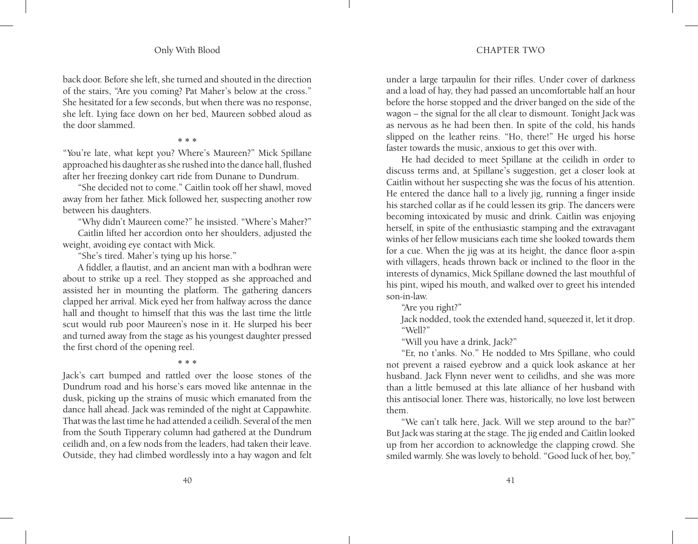### Only With Blood CHAPTER TWO

back door. Before she left, she turned and shouted in the direction of the stairs, "Are you coming? Pat Maher's below at the cross." She hesitated for a few seconds, but when there was no response, she left. Lying face down on her bed, Maureen sobbed aloud as the door slammed.

\* \* \*

"You're late, what kept you? Where's Maureen?" Mick Spillane approached his daughter as she rushed into the dance hall, flushed after her freezing donkey cart ride from Dunane to Dundrum.

"She decided not to come." Caitlin took off her shawl, moved away from her father. Mick followed her, suspecting another row between his daughters.

"Why didn't Maureen come?" he insisted. "Where's Maher?"

Caitlin lifted her accordion onto her shoulders, adjusted the weight, avoiding eye contact with Mick.

"She's tired. Maher's tying up his horse."

A fiddler, a flautist, and an ancient man with a bodhran were about to strike up a reel. They stopped as she approached and assisted her in mounting the platform. The gathering dancers clapped her arrival. Mick eyed her from halfway across the dance hall and thought to himself that this was the last time the little scut would rub poor Maureen's nose in it. He slurped his beer and turned away from the stage as his youngest daughter pressed the first chord of the opening reel.

### \* \* \*

Jack's cart bumped and rattled over the loose stones of the Dundrum road and his horse's ears moved like antennae in the dusk, picking up the strains of music which emanated from the dance hall ahead. Jack was reminded of the night at Cappawhite. That was the last time he had attended a ceilidh. Several of the men from the South Tipperary column had gathered at the Dundrum ceilidh and, on a few nods from the leaders, had taken their leave. Outside, they had climbed wordlessly into a hay wagon and felt under a large tarpaulin for their rifles. Under cover of darkness and a load of hay, they had passed an uncomfortable half an hour before the horse stopped and the driver banged on the side of the wagon – the signal for the all clear to dismount. Tonight Jack was as nervous as he had been then. In spite of the cold, his hands slipped on the leather reins. "Ho, there!" He urged his horse faster towards the music, anxious to get this over with.

He had decided to meet Spillane at the ceilidh in order to discuss terms and, at Spillane's suggestion, get a closer look at Caitlin without her suspecting she was the focus of his attention. He entered the dance hall to a lively jig, running a finger inside his starched collar as if he could lessen its grip. The dancers were becoming intoxicated by music and drink. Caitlin was enjoying herself, in spite of the enthusiastic stamping and the extravagant winks of her fellow musicians each time she looked towards them for a cue. When the jig was at its height, the dance floor a-spin with villagers, heads thrown back or inclined to the floor in the interests of dynamics, Mick Spillane downed the last mouthful of his pint, wiped his mouth, and walked over to greet his intended son-in-law.

"Are you right?"

Jack nodded, took the extended hand, squeezed it, let it drop. "Well?"

"Will you have a drink, Jack?"

"Er, no t'anks. No." He nodded to Mrs Spillane, who could not prevent a raised eyebrow and a quick look askance at her husband. Jack Flynn never went to ceilidhs, and she was more than a little bemused at this late alliance of her husband with this antisocial loner. There was, historically, no love lost between them.

"We can't talk here, Jack. Will we step around to the bar?" But Jack was staring at the stage. The jig ended and Caitlin looked up from her accordion to acknowledge the clapping crowd. She smiled warmly. She was lovely to behold. "Good luck of her, boy,"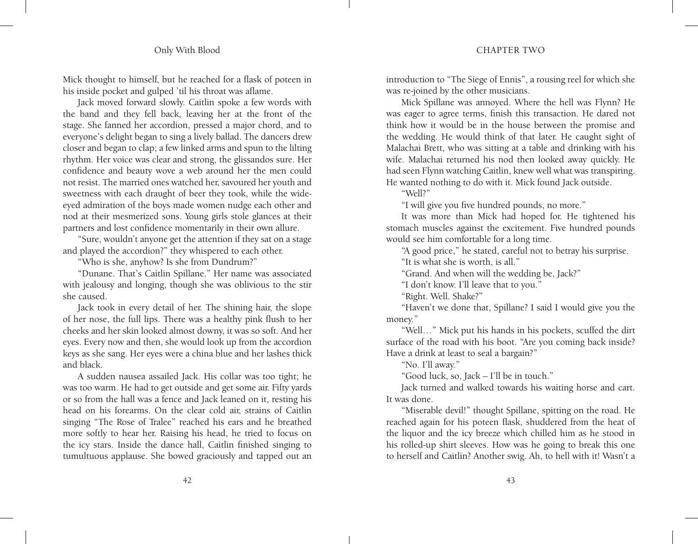Mick thought to himself, but he reached for a flask of poteen in his inside pocket and gulped 'til his throat was aflame.

Jack moved forward slowly. Caitlin spoke a few words with the band and they fell back, leaving her at the front of the stage. She fanned her accordion, pressed a major chord, and to everyone's delight began to sing a lively ballad. The dancers drew closer and began to clap; a few linked arms and spun to the lilting rhythm. Her voice was clear and strong, the glissandos sure. Her confidence and beauty wove a web around her the men could not resist. The married ones watched her, savoured her youth and sweetness with each draught of beer they took, while the wideeyed admiration of the boys made women nudge each other and nod at their mesmerized sons. Young girls stole glances at their partners and lost confidence momentarily in their own allure.

"Sure, wouldn't anyone get the attention if they sat on a stage and played the accordion?" they whispered to each other.

"Who is she, anyhow? Is she from Dundrum?"

"Dunane. That's Caitlin Spillane." Her name was associated with jealousy and longing, though she was oblivious to the stir she caused.

Jack took in every detail of her. The shining hair, the slope of her nose, the full lips. There was a healthy pink flush to her cheeks and her skin looked almost downy, it was so soft. And her eyes. Every now and then, she would look up from the accordion keys as she sang. Her eyes were a china blue and her lashes thick and black.

A sudden nausea assailed Jack. His collar was too tight; he was too warm. He had to get outside and get some air. Fifty yards or so from the hall was a fence and Jack leaned on it, resting his head on his forearms. On the clear cold air, strains of Caitlin singing "The Rose of Tralee" reached his ears and he breathed more softly to hear her. Raising his head, he tried to focus on the icy stars. Inside the dance hall, Caitlin finished singing to tumultuous applause. She bowed graciously and tapped out an introduction to "The Siege of Ennis", a rousing reel for which she was re-joined by the other musicians.

Mick Spillane was annoyed. Where the hell was Flynn? He was eager to agree terms, finish this transaction. He dared not think how it would be in the house between the promise and the wedding. He would think of that later. He caught sight of Malachai Brett, who was sitting at a table and drinking with his wife. Malachai returned his nod then looked away quickly. He had seen Flynn watching Caitlin, knew well what was transpiring. He wanted nothing to do with it. Mick found Jack outside.

"Well?"

"I will give you five hundred pounds, no more."

It was more than Mick had hoped for. He tightened his stomach muscles against the excitement. Five hundred pounds would see him comfortable for a long time.

"A good price," he stated, careful not to betray his surprise. "It is what she is worth, is all."

"Grand. And when will the wedding be, Jack?"

"I don't know. I'll leave that to you."

"Right. Well. Shake?"

"Haven't we done that, Spillane? I said I would give you the money."

"Well…" Mick put his hands in his pockets, scuffed the dirt surface of the road with his boot. "Are you coming back inside? Have a drink at least to seal a bargain?"

"No. I'll away."

"Good luck, so, Jack – I'll be in touch."

Jack turned and walked towards his waiting horse and cart. It was done.

"Miserable devil!" thought Spillane, spitting on the road. He reached again for his poteen flask, shuddered from the heat of the liquor and the icy breeze which chilled him as he stood in his rolled-up shirt sleeves. How was he going to break this one to herself and Caitlin? Another swig. Ah, to hell with it! Wasn't a